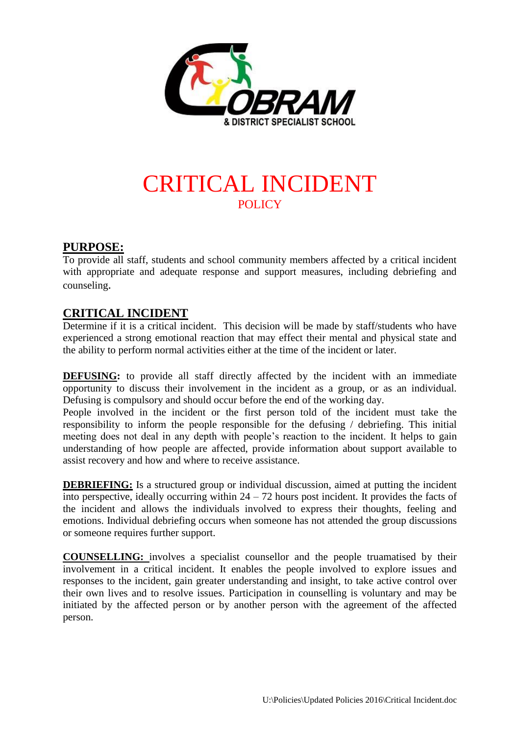

# CRITICAL INCIDENT **POLICY**

## **PURPOSE:**

To provide all staff, students and school community members affected by a critical incident with appropriate and adequate response and support measures, including debriefing and counseling.

## **CRITICAL INCIDENT**

Determine if it is a critical incident. This decision will be made by staff/students who have experienced a strong emotional reaction that may effect their mental and physical state and the ability to perform normal activities either at the time of the incident or later.

**DEFUSING:** to provide all staff directly affected by the incident with an immediate opportunity to discuss their involvement in the incident as a group, or as an individual. Defusing is compulsory and should occur before the end of the working day.

People involved in the incident or the first person told of the incident must take the responsibility to inform the people responsible for the defusing / debriefing. This initial meeting does not deal in any depth with people's reaction to the incident. It helps to gain understanding of how people are affected, provide information about support available to assist recovery and how and where to receive assistance.

**DEBRIEFING:** Is a structured group or individual discussion, aimed at putting the incident into perspective, ideally occurring within  $24 - 72$  hours post incident. It provides the facts of the incident and allows the individuals involved to express their thoughts, feeling and emotions. Individual debriefing occurs when someone has not attended the group discussions or someone requires further support.

**COUNSELLING:** involves a specialist counsellor and the people truamatised by their involvement in a critical incident. It enables the people involved to explore issues and responses to the incident, gain greater understanding and insight, to take active control over their own lives and to resolve issues. Participation in counselling is voluntary and may be initiated by the affected person or by another person with the agreement of the affected person.